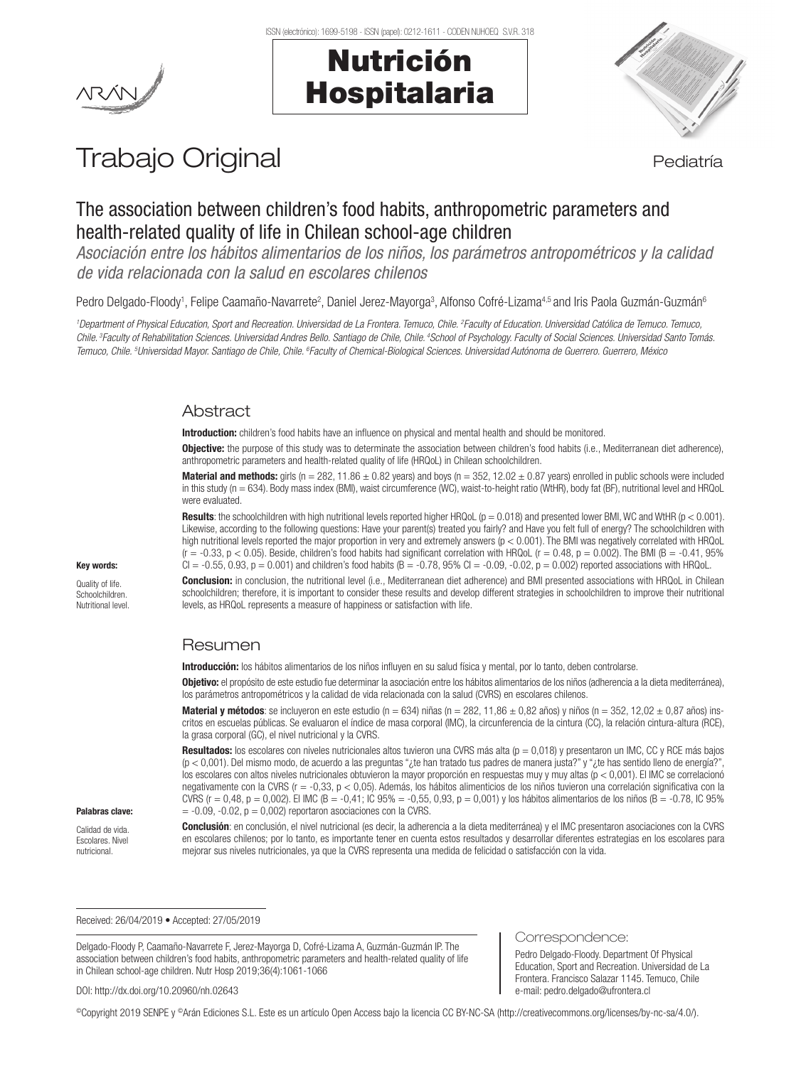

# Nutrición Hospitalaria



# Trabajo Original en el estatubación de la pediatría

# The association between children's food habits, anthropometric parameters and health-related quality of life in Chilean school-age children

*Asociación entre los hábitos alimentarios de los niños, los parámetros antropométricos y la calidad de vida relacionada con la salud en escolares chilenos*

Pedro Delgado-Floody<sup>1</sup>, Felipe Caamaño-Navarrete<sup>2</sup>, Daniel Jerez-Mayorga<sup>3</sup>, Alfonso Cofré-Lizama<sup>4.5</sup> and Iris Paola Guzmán-Guzmán<sup>s</sup>

*1 Department of Physical Education, Sport and Recreation. Universidad de La Frontera. Temuco, Chile. 2 Faculty of Education. Universidad Católica de Temuco. Temuco, Chile. 3Faculty of Rehabilitation Sciences. Universidad Andres Bello. Santiago de Chile, Chile. 4School of Psychology. Faculty of Social Sciences. Universidad Santo Tomás. Temuco, Chile. 5 Universidad Mayor. Santiago de Chile, Chile. 6 Faculty of Chemical-Biological Sciences. Universidad Autónoma de Guerrero. Guerrero, México*

## **Abstract**

Introduction: children's food habits have an influence on physical and mental health and should be monitored.

**Objective:** the purpose of this study was to determinate the association between children's food habits (i.e., Mediterranean diet adherence), anthropometric parameters and health-related quality of life (HRQoL) in Chilean schoolchildren.

**Material and methods:** girls ( $n = 282, 11.86 \pm 0.82$  years) and boys ( $n = 352, 12.02 \pm 0.87$  years) enrolled in public schools were included in this study (n = 634). Body mass index (BMI), waist circumference (WC), waist-to-height ratio (WtHR), body fat (BF), nutritional level and HRQoL were evaluated.

**Results:** the schoolchildren with high nutritional levels reported higher HRQoL ( $p = 0.018$ ) and presented lower BMI, WC and WtHR ( $p < 0.001$ ). Likewise, according to the following questions: Have your parent(s) treated you fairly? and Have you felt full of energy? The schoolchildren with high nutritional levels reported the major proportion in very and extremely answers ( $p < 0.001$ ). The BMI was negatively correlated with HRQoL ( $r = -0.33$ ,  $p < 0.05$ ). Beside, children's food habits had significant correlation with HRQoL ( $r = 0.48$ ,  $p = 0.002$ ). The BMI ( $B = -0.41$ , 95%  $CI = -0.55$ ,  $0.93$ ,  $p = 0.001$ ) and children's food habits ( $B = -0.78$ ,  $95\%$   $CI = -0.09$ ,  $-0.02$ ,  $p = 0.002$ ) reported associations with HRQoL.

Conclusion: in conclusion, the nutritional level (i.e., Mediterranean diet adherence) and BMI presented associations with HRQoL in Chilean schoolchildren; therefore, it is important to consider these results and develop different strategies in schoolchildren to improve their nutritional levels, as HRQoL represents a measure of happiness or satisfaction with life.

## Resumen

Introducción: los hábitos alimentarios de los niños influyen en su salud física y mental, por lo tanto, deben controlarse.

Objetivo: el propósito de este estudio fue determinar la asociación entre los hábitos alimentarios de los niños (adherencia a la dieta mediterránea), los parámetros antropométricos y la calidad de vida relacionada con la salud (CVRS) en escolares chilenos.

**Material y métodos**: se incluyeron en este estudio (n = 634) niñas (n = 282, 11,86  $\pm$  0,82 años) y niños (n = 352, 12,02  $\pm$  0,87 años) inscritos en escuelas públicas. Se evaluaron el índice de masa corporal (IMC), la circunferencia de la cintura (CC), la relación cintura-altura (RCE), la grasa corporal (GC), el nivel nutricional y la CVRS.

**Resultados:** los escolares con niveles nutricionales altos tuvieron una CVRS más alta ( $p = 0.018$ ) y presentaron un IMC, CC y RCE más bajos (p < 0,001). Del mismo modo, de acuerdo a las preguntas "¿te han tratado tus padres de manera justa?" y "¿te has sentido lleno de energía?", los escolares con altos niveles nutricionales obtuvieron la mayor proporción en respuestas muy y muy altas (p < 0,001). El IMC se correlacionó negativamente con la CVRS (r = -0,33, p < 0,05). Además, los hábitos alimenticios de los niños tuvieron una correlación significativa con la CVRS ( $r = 0.48$ ,  $p = 0.002$ ). El IMC ( $B = -0.41$ ; IC 95% = -0,55, 0,93,  $p = 0.001$ ) y los hábitos alimentarios de los niños ( $B = -0.78$ , IC 95%  $=$  -0.09, -0.02,  $p = 0.002$ ) reportaron asociaciones con la CVRS.

#### Palabras clave:

Key words: Quality of life. Schoolchildren. Nutritional level.

Calidad de vida. Escolares. Nivel nutricional.

Conclusión: en conclusión, el nivel nutricional (es decir, la adherencia a la dieta mediterránea) y el IMC presentaron asociaciones con la CVRS en escolares chilenos; por lo tanto, es importante tener en cuenta estos resultados y desarrollar diferentes estrategias en los escolares para mejorar sus niveles nutricionales, ya que la CVRS representa una medida de felicidad o satisfacción con la vida.

Received: 26/04/2019 • Accepted: 27/05/2019

Delgado-Floody P, Caamaño-Navarrete F, Jerez-Mayorga D, Cofré-Lizama A, Guzmán-Guzmán IP. The association between children's food habits, anthropometric parameters and health-related quality of life in Chilean school-age children. Nutr Hosp 2019;36(4):1061-1066

#### DOI: http://dx.doi.org/10.20960/nh.02643

Correspondence:

Pedro Delgado-Floody. Department Of Physical Education, Sport and Recreation. Universidad de La Frontera. Francisco Salazar 1145. Temuco, Chile e-mail: pedro.delgado@ufrontera.cl

©Copyright 2019 SENPE y ©Arán Ediciones S.L. Este es un artículo Open Access bajo la licencia CC BY-NC-SA (http://creativecommons.org/licenses/by-nc-sa/4.0/).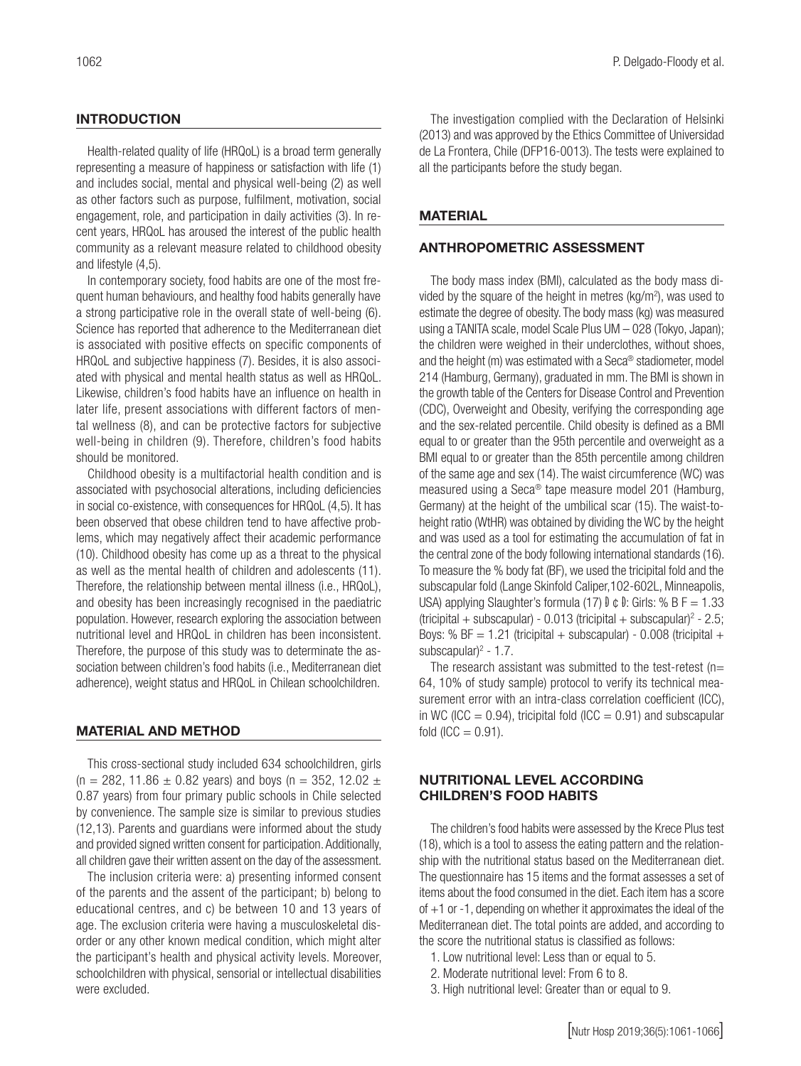#### **INTRODUCTION**

Health-related quality of life (HRQoL) is a broad term generally representing a measure of happiness or satisfaction with life (1) and includes social, mental and physical well-being (2) as well as other factors such as purpose, fulfilment, motivation, social engagement, role, and participation in daily activities (3). In recent years, HRQoL has aroused the interest of the public health community as a relevant measure related to childhood obesity and lifestyle (4,5).

In contemporary society, food habits are one of the most frequent human behaviours, and healthy food habits generally have a strong participative role in the overall state of well-being (6). Science has reported that adherence to the Mediterranean diet is associated with positive effects on specific components of HRQoL and subjective happiness (7). Besides, it is also associated with physical and mental health status as well as HRQoL. Likewise, children's food habits have an influence on health in later life, present associations with different factors of mental wellness (8), and can be protective factors for subjective well-being in children (9). Therefore, children's food habits should be monitored.

Childhood obesity is a multifactorial health condition and is associated with psychosocial alterations, including deficiencies in social co-existence, with consequences for HRQoL (4,5). It has been observed that obese children tend to have affective problems, which may negatively affect their academic performance (10). Childhood obesity has come up as a threat to the physical as well as the mental health of children and adolescents (11). Therefore, the relationship between mental illness (i.e., HRQoL), and obesity has been increasingly recognised in the paediatric population. However, research exploring the association between nutritional level and HRQoL in children has been inconsistent. Therefore, the purpose of this study was to determinate the association between children's food habits (i.e., Mediterranean diet adherence), weight status and HRQoL in Chilean schoolchildren.

#### MATERIAL AND METHOD

This cross-sectional study included 634 schoolchildren, girls (n = 282, 11.86  $\pm$  0.82 years) and boys (n = 352, 12.02  $\pm$ 0.87 years) from four primary public schools in Chile selected by convenience. The sample size is similar to previous studies (12,13). Parents and guardians were informed about the study and provided signed written consent for participation. Additionally, all children gave their written assent on the day of the assessment.

The inclusion criteria were: a) presenting informed consent of the parents and the assent of the participant; b) belong to educational centres, and c) be between 10 and 13 years of age. The exclusion criteria were having a musculoskeletal disorder or any other known medical condition, which might alter the participant's health and physical activity levels. Moreover, schoolchildren with physical, sensorial or intellectual disabilities were excluded.

The investigation complied with the Declaration of Helsinki (2013) and was approved by the Ethics Committee of Universidad de La Frontera, Chile (DFP16-0013). The tests were explained to all the participants before the study began.

## MATERIAL

#### ANTHROPOMETRIC ASSESSMENT

The body mass index (BMI), calculated as the body mass divided by the square of the height in metres ( $kg/m<sup>2</sup>$ ), was used to estimate the degree of obesity. The body mass (kg) was measured using a TANITA scale, model Scale Plus UM – 028 (Tokyo, Japan); the children were weighed in their underclothes, without shoes, and the height (m) was estimated with a Seca® stadiometer, model 214 (Hamburg, Germany), graduated in mm. The BMI is shown in the growth table of the Centers for Disease Control and Prevention (CDC), Overweight and Obesity, verifying the corresponding age and the sex-related percentile. Child obesity is defined as a BMI equal to or greater than the 95th percentile and overweight as a BMI equal to or greater than the 85th percentile among children of the same age and sex (14). The waist circumference (WC) was measured using a Seca® tape measure model 201 (Hamburg, Germany) at the height of the umbilical scar (15). The waist-toheight ratio (WtHR) was obtained by dividing the WC by the height and was used as a tool for estimating the accumulation of fat in the central zone of the body following international standards (16). To measure the % body fat (BF), we used the tricipital fold and the subscapular fold (Lange Skinfold Caliper,102-602L, Minneapolis, USA) applying Slaughter's formula (17)  $\theta \in \theta$ : Girls: % B F = 1.33  $($ tricipital + subscapular $)$  - 0.013  $($ tricipital + subscapular $)$ <sup>2</sup> - 2.5; Boys: % BF =  $1.21$  (tricipital + subscapular) -  $0.008$  (tricipital + subscapular) $2 - 1.7$ .

The research assistant was submitted to the test-retest ( $n=$ 64, 10% of study sample) protocol to verify its technical measurement error with an intra-class correlation coefficient (ICC), in WC (ICC =  $0.94$ ), tricipital fold (ICC =  $0.91$ ) and subscapular fold  $(ICC = 0.91)$ .

## NUTRITIONAL LEVEL ACCORDING CHILDREN'S FOOD HABITS

The children's food habits were assessed by the Krece Plus test (18), which is a tool to assess the eating pattern and the relationship with the nutritional status based on the Mediterranean diet. The questionnaire has 15 items and the format assesses a set of items about the food consumed in the diet. Each item has a score of  $+1$  or  $-1$ , depending on whether it approximates the ideal of the Mediterranean diet. The total points are added, and according to the score the nutritional status is classified as follows:

- 1. Low nutritional level: Less than or equal to 5.
- 2. Moderate nutritional level: From 6 to 8.
- 3. High nutritional level: Greater than or equal to 9.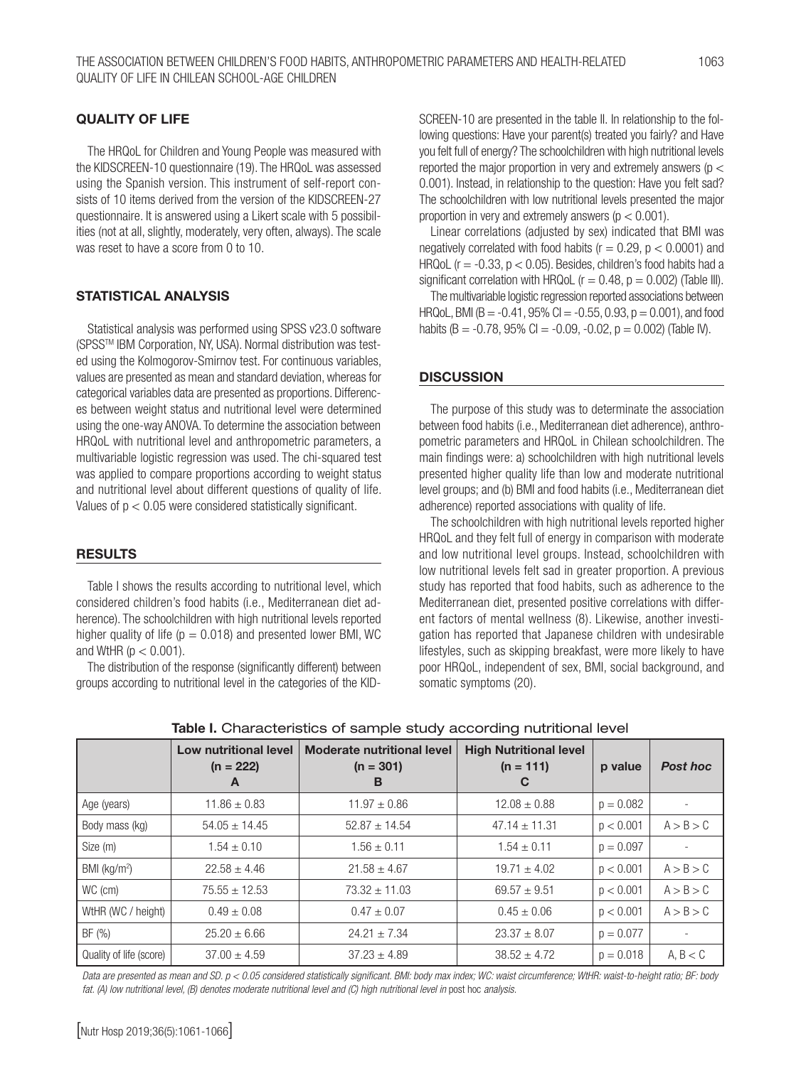#### QUALITY OF LIFE

The HRQoL for Children and Young People was measured with the KIDSCREEN-10 questionnaire (19). The HRQoL was assessed using the Spanish version. This instrument of self-report consists of 10 items derived from the version of the KIDSCREEN-27 questionnaire. It is answered using a Likert scale with 5 possibilities (not at all, slightly, moderately, very often, always). The scale was reset to have a score from 0 to 10.

#### STATISTICAL ANALYSIS

Statistical analysis was performed using SPSS v23.0 software (SPSSTM IBM Corporation, NY, USA). Normal distribution was tested using the Kolmogorov-Smirnov test. For continuous variables, values are presented as mean and standard deviation, whereas for categorical variables data are presented as proportions. Differences between weight status and nutritional level were determined using the one-way ANOVA. To determine the association between HRQoL with nutritional level and anthropometric parameters, a multivariable logistic regression was used. The chi-squared test was applied to compare proportions according to weight status and nutritional level about different questions of quality of life. Values of p < 0.05 were considered statistically significant.

#### **RESULTS**

Table I shows the results according to nutritional level, which considered children's food habits (i.e., Mediterranean diet adherence). The schoolchildren with high nutritional levels reported higher quality of life ( $p = 0.018$ ) and presented lower BMI, WC and WtHR ( $p < 0.001$ ).

The distribution of the response (significantly different) between groups according to nutritional level in the categories of the KID- SCREEN-10 are presented in the table II. In relationship to the following questions: Have your parent(s) treated you fairly? and Have you felt full of energy? The schoolchildren with high nutritional levels reported the major proportion in very and extremely answers ( $p <$ 0.001). Instead, in relationship to the question: Have you felt sad? The schoolchildren with low nutritional levels presented the major proportion in very and extremely answers ( $p < 0.001$ ).

Linear correlations (adjusted by sex) indicated that BMI was negatively correlated with food habits ( $r = 0.29$ ,  $p < 0.0001$ ) and HRQoL ( $r = -0.33$ ,  $p < 0.05$ ). Besides, children's food habits had a significant correlation with HRQoL ( $r = 0.48$ ,  $p = 0.002$ ) (Table III).

The multivariable logistic regression reported associations between HRQoL, BMI (B =  $-0.41$ , 95% CI =  $-0.55$ , 0.93, p = 0.001), and food habits (B =  $-0.78$ , 95% CI =  $-0.09$ ,  $-0.02$ , p = 0.002) (Table IV).

#### **DISCUSSION**

The purpose of this study was to determinate the association between food habits (i.e., Mediterranean diet adherence), anthropometric parameters and HRQoL in Chilean schoolchildren. The main findings were: a) schoolchildren with high nutritional levels presented higher quality life than low and moderate nutritional level groups; and (b) BMI and food habits (i.e., Mediterranean diet adherence) reported associations with quality of life.

The schoolchildren with high nutritional levels reported higher HRQoL and they felt full of energy in comparison with moderate and low nutritional level groups. Instead, schoolchildren with low nutritional levels felt sad in greater proportion. A previous study has reported that food habits, such as adherence to the Mediterranean diet, presented positive correlations with different factors of mental wellness (8). Likewise, another investigation has reported that Japanese children with undesirable lifestyles, such as skipping breakfast, were more likely to have poor HRQoL, independent of sex, BMI, social background, and somatic symptoms (20).

|                         | Low nutritional level<br>$(n = 222)$<br>A | <b>Moderate nutritional level</b><br>$(n = 301)$<br>В | <b>High Nutritional level</b><br>$(n = 111)$<br>C | p value     | <b>Post hoc</b> |
|-------------------------|-------------------------------------------|-------------------------------------------------------|---------------------------------------------------|-------------|-----------------|
| Age (years)             | $11.86 \pm 0.83$                          | $11.97 \pm 0.86$                                      | $12.08 \pm 0.88$                                  | $p = 0.082$ |                 |
| Body mass (kg)          | $54.05 \pm 14.45$                         | $52.87 \pm 14.54$                                     | $47.14 \pm 11.31$                                 | p < 0.001   | A > B > C       |
| Size (m)                | $1.54 \pm 0.10$                           | $1.56 \pm 0.11$                                       | $1.54 \pm 0.11$                                   | $p = 0.097$ |                 |
| BMI ( $kg/m2$ )         | $22.58 \pm 4.46$                          | $21.58 \pm 4.67$                                      | $19.71 \pm 4.02$                                  | p < 0.001   | A > B > C       |
| WC (cm)                 | $75.55 \pm 12.53$                         | $73.32 \pm 11.03$                                     | $69.57 \pm 9.51$                                  | p < 0.001   | A > B > C       |
| WtHR (WC / height)      | $0.49 \pm 0.08$                           | $0.47 \pm 0.07$                                       | $0.45 \pm 0.06$                                   | p < 0.001   | A > B > C       |
| BF (%)                  | $25.20 \pm 6.66$                          | $24.21 \pm 7.34$                                      | $23.37 \pm 8.07$                                  | $p = 0.077$ |                 |
| Quality of life (score) | $37.00 \pm 4.59$                          | $37.23 \pm 4.89$                                      | $38.52 \pm 4.72$                                  | $p = 0.018$ | A, B < C        |

#### Table I. Characteristics of sample study according nutritional level

Data are presented as mean and SD. p < 0.05 considered statistically significant. BMI: body max index; WC: waist circumference; WtHR: waist-to-height ratio; BF: body *fat. (A) low nutritional level, (B) denotes moderate nutritional level and (C) high nutritional level in post hoc analysis.*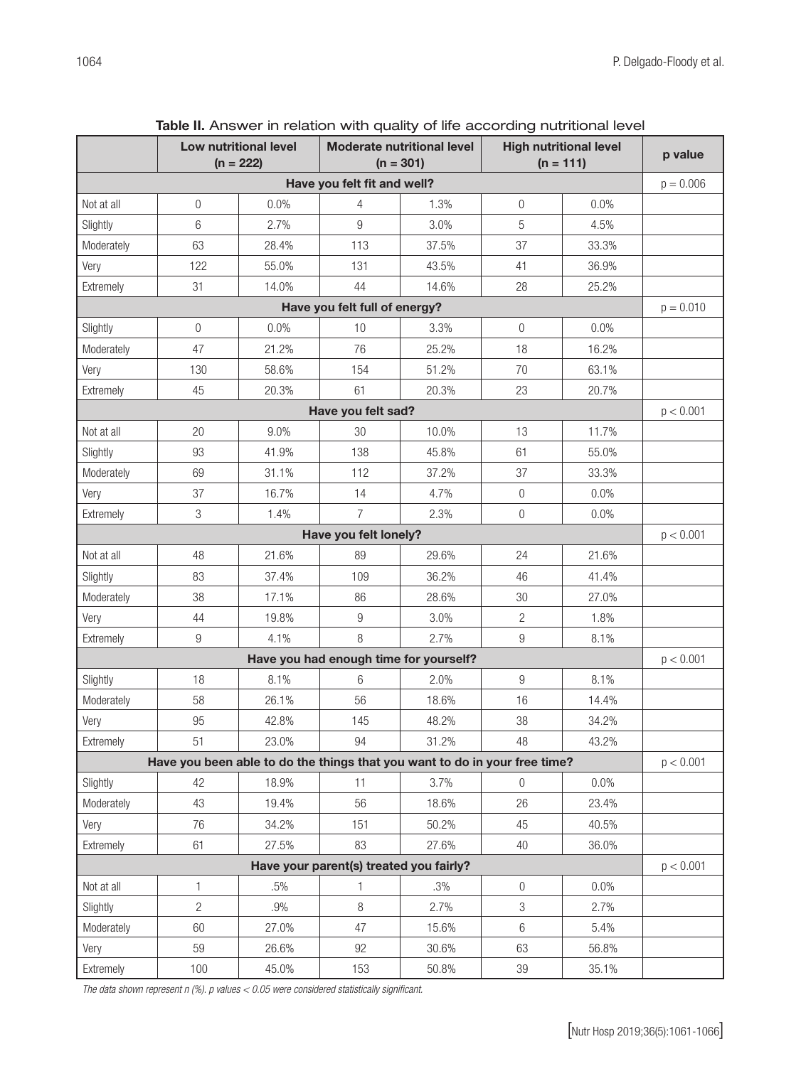|                                                                            |                | Low nutritional level<br>$(n = 222)$ |                                        | <b>Moderate nutritional level</b><br>$(n = 301)$ |                  | <b>High nutritional level</b><br>$(n = 111)$ | p value     |
|----------------------------------------------------------------------------|----------------|--------------------------------------|----------------------------------------|--------------------------------------------------|------------------|----------------------------------------------|-------------|
|                                                                            |                |                                      | Have you felt fit and well?            |                                                  |                  |                                              | $p = 0.006$ |
| Not at all                                                                 | 0              | 0.0%                                 | 4                                      | 1.3%                                             | $\overline{0}$   | 0.0%                                         |             |
| Slightly                                                                   | 6              | 2.7%                                 | 9                                      | 3.0%                                             | 5                | 4.5%                                         |             |
| Moderately                                                                 | 63             | 28.4%                                | 113                                    | 37.5%                                            | 37               | 33.3%                                        |             |
| Very                                                                       | 122            | 55.0%                                | 131                                    | 43.5%                                            | 41               | 36.9%                                        |             |
| Extremely                                                                  | 31             | 14.0%                                | 44                                     | 14.6%                                            | 28               | 25.2%                                        |             |
|                                                                            |                |                                      | Have you felt full of energy?          |                                                  |                  |                                              | $p = 0.010$ |
| Slightly                                                                   | 0              | 0.0%                                 | 10                                     | 3.3%                                             | $\overline{0}$   | 0.0%                                         |             |
| Moderately                                                                 | 47             | 21.2%                                | 76                                     | 25.2%                                            | 18               | 16.2%                                        |             |
| Very                                                                       | 130            | 58.6%                                | 154                                    | 51.2%                                            | 70               | 63.1%                                        |             |
| Extremely                                                                  | 45             | 20.3%                                | 61                                     | 20.3%                                            | 23               | 20.7%                                        |             |
|                                                                            |                |                                      | Have you felt sad?                     |                                                  |                  |                                              | p < 0.001   |
| Not at all                                                                 | 20             | 9.0%                                 | 30                                     | 10.0%                                            | 13               | 11.7%                                        |             |
| Slightly                                                                   | 93             | 41.9%                                | 138                                    | 45.8%                                            | 61               | 55.0%                                        |             |
| Moderately                                                                 | 69             | 31.1%                                | 112                                    | 37.2%                                            | 37               | 33.3%                                        |             |
| Very                                                                       | 37             | 16.7%                                | 14                                     | 4.7%                                             | $\overline{0}$   | 0.0%                                         |             |
| Extremely                                                                  | 3              | 1.4%                                 | $\overline{7}$                         | 2.3%                                             | $\mathbf 0$      | 0.0%                                         |             |
|                                                                            |                |                                      | Have you felt lonely?                  |                                                  |                  |                                              | p < 0.001   |
| Not at all                                                                 | 48             | 21.6%                                | 89                                     | 29.6%                                            | 24               | 21.6%                                        |             |
| Slightly                                                                   | 83             | 37.4%                                | 109                                    | 36.2%                                            | 46               | 41.4%                                        |             |
| Moderately                                                                 | 38             | 17.1%                                | 86                                     | 28.6%                                            | 30               | 27.0%                                        |             |
| Very                                                                       | 44             | 19.8%                                | 9                                      | 3.0%                                             | $\overline{c}$   | 1.8%                                         |             |
| Extremely                                                                  | 9              | 4.1%                                 | 8                                      | 2.7%                                             | 9                | 8.1%                                         |             |
|                                                                            |                |                                      | Have you had enough time for yourself? |                                                  |                  |                                              | p < 0.001   |
| Slightly                                                                   | 18             | 8.1%                                 | 6                                      | 2.0%                                             | 9                | 8.1%                                         |             |
| Moderately                                                                 | 58             | 26.1%                                | 56                                     | 18.6%                                            | 16               | 14.4%                                        |             |
| Very                                                                       | 95             | 42.8%                                | 145                                    | 48.2%                                            | 38               | 34.2%                                        |             |
| Extremely                                                                  | 51             | 23.0%                                | 94                                     | 31.2%                                            | 48               | 43.2%                                        |             |
| Have you been able to do the things that you want to do in your free time? |                |                                      |                                        |                                                  |                  | p < 0.001                                    |             |
| Slightly                                                                   | 42             | 18.9%                                | 11                                     | 3.7%                                             | $\boldsymbol{0}$ | 0.0%                                         |             |
| Moderately                                                                 | 43             | 19.4%                                | 56                                     | 18.6%                                            | 26               | 23.4%                                        |             |
| Very                                                                       | 76             | 34.2%                                | 151                                    | 50.2%                                            | 45               | 40.5%                                        |             |
| Extremely                                                                  | 61             | 27.5%                                | 83                                     | 27.6%                                            | 40               | 36.0%                                        |             |
| Have your parent(s) treated you fairly?                                    |                |                                      |                                        |                                                  |                  |                                              | p < 0.001   |
| Not at all                                                                 | 1              | .5%                                  | 1                                      | .3%                                              | 0                | 0.0%                                         |             |
| Slightly                                                                   | $\overline{c}$ | .9%                                  | 8                                      | 2.7%                                             | 3                | 2.7%                                         |             |
| Moderately                                                                 | 60             | 27.0%                                | 47                                     | 15.6%                                            | 6                | 5.4%                                         |             |
| Very                                                                       | 59             | 26.6%                                | 92                                     | 30.6%                                            | 63               | 56.8%                                        |             |
| Extremely                                                                  | 100            | 45.0%                                | 153                                    | 50.8%                                            | $39\,$           | 35.1%                                        |             |

Table II. Answer in relation with quality of life according nutritional level

*The data shown represent n (%). p values < 0.05 were considered statistically significant.*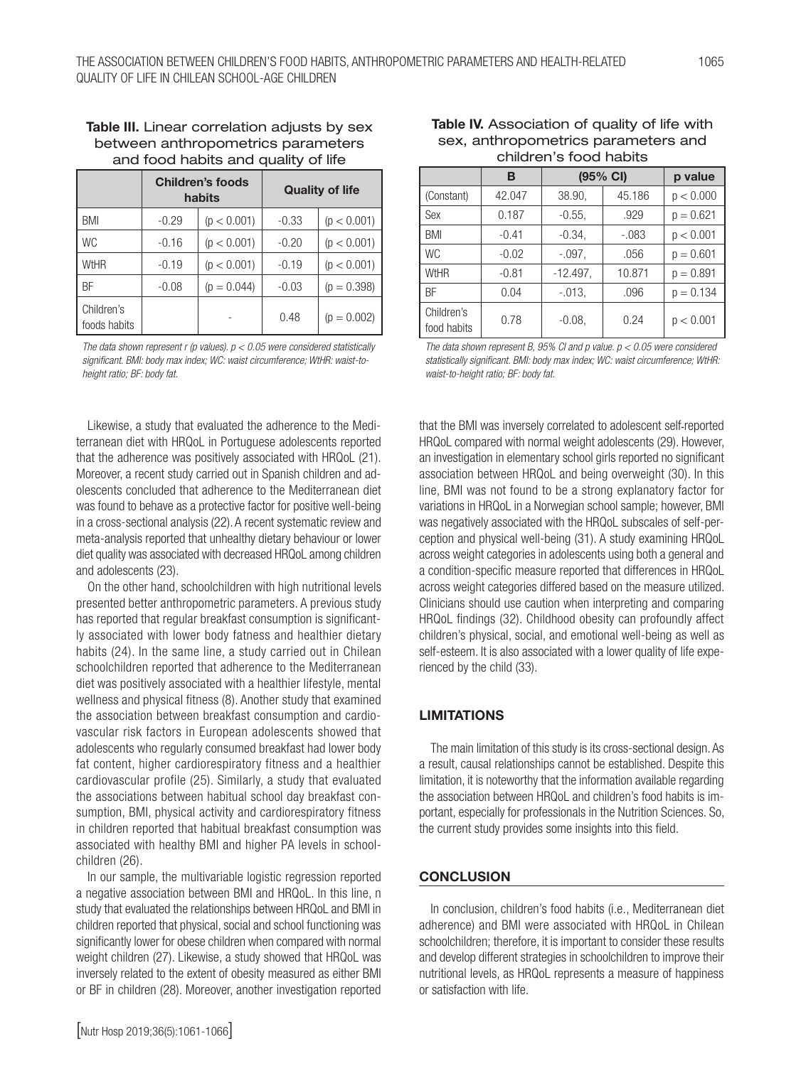| between anthropometrics parameters<br>and food habits and quality of life |                                   |             |                        |             |  |  |
|---------------------------------------------------------------------------|-----------------------------------|-------------|------------------------|-------------|--|--|
|                                                                           | <b>Children's foods</b><br>habits |             | <b>Quality of life</b> |             |  |  |
| <b>BMI</b>                                                                | $-0.29$                           | (p < 0.001) | $-0.33$                | (p < 0.001) |  |  |
| <b>WC</b>                                                                 | $-0.16$                           | (p < 0.001) | $-0.20$                | (p < 0.001) |  |  |

# Table III. Linear correlation adjusts by sex between anthropometrics parameters

| The data shown represent r (p values). $p < 0.05$ were considered statistically |
|---------------------------------------------------------------------------------|
| significant. BMI: body max index; WC: waist circumference; WtHR: waist-to-      |
| height ratio; BF: body fat.                                                     |

 $\frac{1}{1000}$  foods habits  $\left| \begin{array}{ccc} 0.48 & \rho = 0.002 \end{array} \right|$ 

WtHR  $|_{-0.19}$   $|_{(p < 0.001)}$   $-0.19$   $(p < 0.001)$ BF  $|_{-0.08}$   $|_{p = 0.044}$   $-0.03$   $|_{p = 0.398}$ 

Children's

Likewise, a study that evaluated the adherence to the Mediterranean diet with HRQoL in Portuguese adolescents reported that the adherence was positively associated with HRQoL (21). Moreover, a recent study carried out in Spanish children and adolescents concluded that adherence to the Mediterranean diet was found to behave as a protective factor for positive well-being in a cross-sectional analysis (22). A recent systematic review and meta-analysis reported that unhealthy dietary behaviour or lower diet quality was associated with decreased HRQoL among children and adolescents (23).

On the other hand, schoolchildren with high nutritional levels presented better anthropometric parameters. A previous study has reported that regular breakfast consumption is significantly associated with lower body fatness and healthier dietary habits (24). In the same line, a study carried out in Chilean schoolchildren reported that adherence to the Mediterranean diet was positively associated with a healthier lifestyle, mental wellness and physical fitness (8). Another study that examined the association between breakfast consumption and cardiovascular risk factors in European adolescents showed that adolescents who regularly consumed breakfast had lower body fat content, higher cardiorespiratory fitness and a healthier cardiovascular profile (25). Similarly, a study that evaluated the associations between habitual school day breakfast consumption, BMI, physical activity and cardiorespiratory fitness in children reported that habitual breakfast consumption was associated with healthy BMI and higher PA levels in schoolchildren (26).

In our sample, the multivariable logistic regression reported a negative association between BMI and HRQoL. In this line, n study that evaluated the relationships between HRQoL and BMI in children reported that physical, social and school functioning was significantly lower for obese children when compared with normal weight children (27). Likewise, a study showed that HRQoL was inversely related to the extent of obesity measured as either BMI or BF in children (28). Moreover, another investigation reported

| sex, anthropometrics parameters and<br>children's food habits |         |          |         |             |  |  |
|---------------------------------------------------------------|---------|----------|---------|-------------|--|--|
|                                                               |         | (95% CI) | p value |             |  |  |
| (Constant)                                                    | 42.047  | 38.90.   | 45.186  | p < 0.000   |  |  |
| Sex                                                           | 0.187   | $-0.55.$ | .929    | $p = 0.621$ |  |  |
| <b>BMI</b>                                                    | $-0.41$ | $-0.34$  | $-.083$ | p < 0.001   |  |  |

| Table IV. Association of quality of life with |
|-----------------------------------------------|
| sex, anthropometrics parameters and           |
| children's food habits                        |

| WtHR                                                                                                                                                                                                 | $-0.81$ | $-12.497$ . | 10.871 | $p = 0.891$ |  |  |
|------------------------------------------------------------------------------------------------------------------------------------------------------------------------------------------------------|---------|-------------|--------|-------------|--|--|
| ВF                                                                                                                                                                                                   | 0.04    | $-.013,$    | .096   | $p = 0.134$ |  |  |
| Children's<br>food habits                                                                                                                                                                            | 0.78    | $-0.08$     | 0.24   | p < 0.001   |  |  |
| The data shown represent B, 95% CI and p value. $p < 0.05$ were considered<br>statistically significant. BMI: body max index; WC: waist circumference; WtHR:<br>waist-to-height ratio; BF: body fat. |         |             |        |             |  |  |

WC  $-0.02$   $-.097$ ,  $.056$   $p = 0.601$ 

that the BMI was inversely correlated to adolescent self-reported HRQoL compared with normal weight adolescents (29). However, an investigation in elementary school girls reported no significant association between HRQoL and being overweight (30). In this line, BMI was not found to be a strong explanatory factor for variations in HRQoL in a Norwegian school sample; however, BMI was negatively associated with the HRQoL subscales of self-perception and physical well-being (31). A study examining HRQoL across weight categories in adolescents using both a general and a condition-specific measure reported that differences in HRQoL across weight categories differed based on the measure utilized. Clinicians should use caution when interpreting and comparing HRQoL findings (32). Childhood obesity can profoundly affect children's physical, social, and emotional well-being as well as self-esteem. It is also associated with a lower quality of life experienced by the child (33).

#### **LIMITATIONS**

The main limitation of this study is its cross-sectional design. As a result, causal relationships cannot be established. Despite this limitation, it is noteworthy that the information available regarding the association between HRQoL and children's food habits is important, especially for professionals in the Nutrition Sciences. So, the current study provides some insights into this field.

#### **CONCLUSION**

In conclusion, children's food habits (i.e., Mediterranean diet adherence) and BMI were associated with HRQoL in Chilean schoolchildren; therefore, it is important to consider these results and develop different strategies in schoolchildren to improve their nutritional levels, as HRQoL represents a measure of happiness or satisfaction with life.